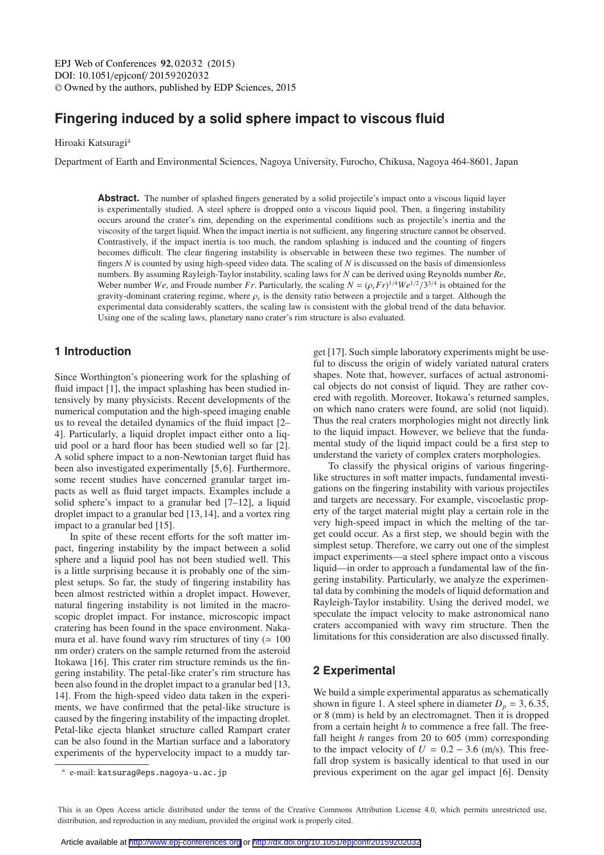# **Fingering induced by a solid sphere impact to viscous fluid**

Hiroaki Katsuragi<sup>a</sup>

Department of Earth and Environmental Sciences, Nagoya University, Furocho, Chikusa, Nagoya 464-8601, Japan

**Abstract.** The number of splashed fingers generated by a solid projectile's impact onto a viscous liquid layer is experimentally studied. A steel sphere is dropped onto a viscous liquid pool. Then, a fingering instability occurs around the crater's rim, depending on the experimental conditions such as projectile's inertia and the viscosity of the target liquid. When the impact inertia is not sufficient, any fingering structure cannot be observed. Contrastively, if the impact inertia is too much, the random splashing is induced and the counting of fingers becomes difficult. The clear fingering instability is observable in between these two regimes. The number of fingers *N* is counted by using high-speed video data. The scaling of *N* is discussed on the basis of dimensionless numbers. By assuming Rayleigh-Taylor instability, scaling laws for *N* can be derived using Reynolds number *Re*, Weber number *We*, and Froude number *Fr*. Particularly, the scaling  $N = (\rho_r F r)^{1/4} W e^{1/2} / 3^{3/4}$  is obtained for the gravity-dominant cratering regime, where  $\rho$  is the density ratio between a projectile and a target. gravity-dominant cratering regime, where  $\rho_r$  is the density ratio between a projectile and a target. Although the experimental data considerably scatters, the scaling law is consistent with the global trend of the data behavior. Using one of the scaling laws, planetary nano crater's rim structure is also evaluated.

# **1 Introduction**

Since Worthington's pioneering work for the splashing of fluid impact [1], the impact splashing has been studied intensively by many physicists. Recent developments of the numerical computation and the high-speed imaging enable us to reveal the detailed dynamics of the fluid impact [2– 4]. Particularly, a liquid droplet impact either onto a liquid pool or a hard floor has been studied well so far [2]. A solid sphere impact to a non-Newtonian target fluid has been also investigated experimentally [5, 6]. Furthermore, some recent studies have concerned granular target impacts as well as fluid target impacts. Examples include a solid sphere's impact to a granular bed [7–12], a liquid droplet impact to a granular bed [13, 14], and a vortex ring impact to a granular bed [15].

In spite of these recent efforts for the soft matter impact, fingering instability by the impact between a solid sphere and a liquid pool has not been studied well. This is a little surprising because it is probably one of the simplest setups. So far, the study of fingering instability has been almost restricted within a droplet impact. However, natural fingering instability is not limited in the macroscopic droplet impact. For instance, microscopic impact cratering has been found in the space environment. Nakamura et al. have found wavy rim structures of tiny ( $\simeq 100$ nm order) craters on the sample returned from the asteroid Itokawa [16]. This crater rim structure reminds us the fingering instability. The petal-like crater's rim structure has been also found in the droplet impact to a granular bed [13, 14]. From the high-speed video data taken in the experiments, we have confirmed that the petal-like structure is caused by the fingering instability of the impacting droplet. Petal-like ejecta blanket structure called Rampart crater can be also found in the Martian surface and a laboratory experiments of the hypervelocity impact to a muddy target [17]. Such simple laboratory experiments might be useful to discuss the origin of widely variated natural craters shapes. Note that, however, surfaces of actual astronomical objects do not consist of liquid. They are rather covered with regolith. Moreover, Itokawa's returned samples, on which nano craters were found, are solid (not liquid). Thus the real craters morphologies might not directly link to the liquid impact. However, we believe that the fundamental study of the liquid impact could be a first step to understand the variety of complex craters morphologies.

To classify the physical origins of various fingeringlike structures in soft matter impacts, fundamental investigations on the fingering instability with various projectiles and targets are necessary. For example, viscoelastic property of the target material might play a certain role in the very high-speed impact in which the melting of the target could occur. As a first step, we should begin with the simplest setup. Therefore, we carry out one of the simplest impact experiments—a steel sphere impact onto a viscous liquid—in order to approach a fundamental law of the fingering instability. Particularly, we analyze the experimental data by combining the models of liquid deformation and Rayleigh-Taylor instability. Using the derived model, we speculate the impact velocity to make astronomical nano craters accompanied with wavy rim structure. Then the limitations for this consideration are also discussed finally.

# **2 Experimental**

We build a simple experimental apparatus as schematically shown in figure 1. A steel sphere in diameter  $D_p = 3, 6.35$ , or 8 (mm) is held by an electromagnet. Then it is dropped from a certain height *h* to commence a free fall. The freefall height *h* ranges from 20 to 605 (mm) corresponding to the impact velocity of  $U = 0.2 - 3.6$  (m/s). This freefall drop system is basically identical to that used in our previous experiment on the agar gel impact [6]. Density

<sup>a</sup> e-mail: katsurag@eps.nagoya-u.ac.jp

This is an Open Access article distributed under the terms of the Creative Commons Attribution License 4.0, which permits unrestricted use. distribution, and reproduction in any medium, provided the original work is properly cited.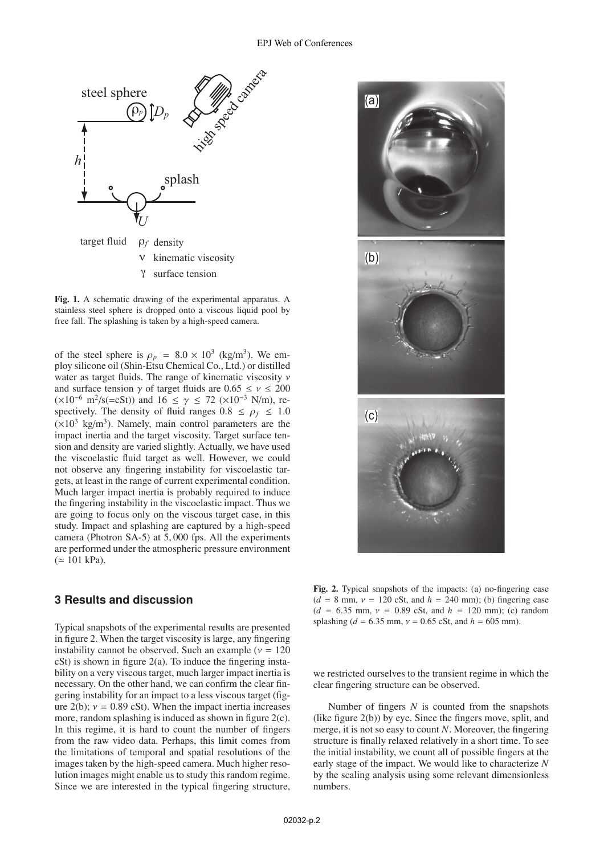

Fig. 1. A schematic drawing of the experimental apparatus. A stainless steel sphere is dropped onto a viscous liquid pool by free fall. The splashing is taken by a high-speed camera.

of the steel sphere is  $\rho_p = 8.0 \times 10^3$  (kg/m<sup>3</sup>). We employ silicone oil (Shin-Etsu Chemical Co., Ltd.) or distilled water as target fluids. The range of kinematic viscosity ν and surface tension  $\gamma$  of target fluids are  $0.65 \le \nu \le 200$  $(\times 10^{-6} \text{ m}^2/\text{s} (=cSt))$  and 16 ≤ γ ≤ 72 (×10<sup>-3</sup> N/m), respectively. The density of fluid ranges  $0.8 \le \rho_f \le 1.0$  $(\times 10^3 \text{ kg/m}^3)$ . Namely, main control parameters are the impact inertia and the target viscosity. Target surface tension and density are varied slightly. Actually, we have used the viscoelastic fluid target as well. However, we could not observe any fingering instability for viscoelastic targets, at least in the range of current experimental condition. Much larger impact inertia is probably required to induce the fingering instability in the viscoelastic impact. Thus we are going to focus only on the viscous target case, in this study. Impact and splashing are captured by a high-speed camera (Photron SA-5) at 5, 000 fps. All the experiments are performed under the atmospheric pressure environment  $( \simeq 101 \text{ kPa}).$ 

# **3 Results and discussion**

Typical snapshots of the experimental results are presented in figure 2. When the target viscosity is large, any fingering instability cannot be observed. Such an example ( $v = 120$  $cSt$ ) is shown in figure  $2(a)$ . To induce the fingering instability on a very viscous target, much larger impact inertia is necessary. On the other hand, we can confirm the clear fingering instability for an impact to a less viscous target (figure 2(b);  $v = 0.89$  cSt). When the impact inertia increases more, random splashing is induced as shown in figure 2(c). In this regime, it is hard to count the number of fingers from the raw video data. Perhaps, this limit comes from the limitations of temporal and spatial resolutions of the images taken by the high-speed camera. Much higher resolution images might enable us to study this random regime. Since we are interested in the typical fingering structure,



Fig. 2. Typical snapshots of the impacts: (a) no-fingering case  $(d = 8$  mm,  $v = 120$  cSt, and  $h = 240$  mm); (b) fingering case  $(d = 6.35$  mm,  $v = 0.89$  cSt, and  $h = 120$  mm); (c) random splashing ( $d = 6.35$  mm,  $v = 0.65$  cSt, and  $h = 605$  mm).

we restricted ourselves to the transient regime in which the clear fingering structure can be observed.

Number of fingers *N* is counted from the snapshots (like figure 2(b)) by eye. Since the fingers move, split, and merge, it is not so easy to count *N*. Moreover, the fingering structure is finally relaxed relatively in a short time. To see the initial instability, we count all of possible fingers at the early stage of the impact. We would like to characterize *N* by the scaling analysis using some relevant dimensionless numbers.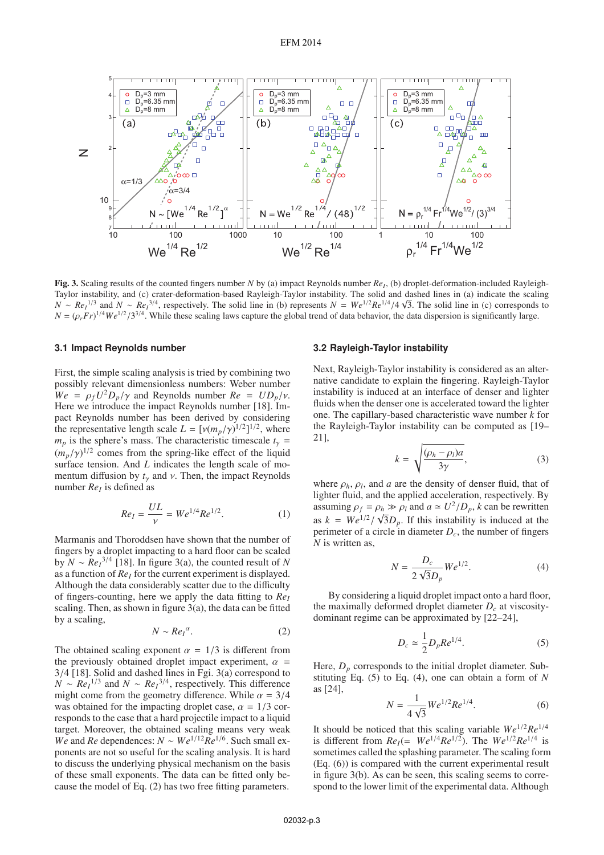Fig. 3. Scaling results of the counted fingers number *N* by (a) impact Reynolds number  $Re<sub>l</sub>$ , (b) droplet-deformation-included Rayleigh-Taylor instability, and (c) crater-deformation-based Rayleigh-Taylor instability. The solid and dashed lines in (a) indicate the scaling *N* ∼ *Re<sub>I</sub>*<sup>1/3</sup> and *N* ∼ *Re<sub>I</sub>*<sup>3/4</sup>, respectively. The solid line in (b) represents *N* = *We*<sup>1/2</sup>*Re*<sup>1/4</sup>/4 √3. The solid line in (c) corresponds to *N* − (*o Fr*)<sup>1/4</sup>*We*<sup>1/2</sup>/2<sup>3/4</sup>. While these scaling laws  $N = (\rho_r Fr)^{1/4} We^{1/2}/3^{3/4}$ . While these scaling laws capture the global trend of data behavior, the data dispersion is significantly large.

#### **3.1 Impact Reynolds number**

First, the simple scaling analysis is tried by combining two possibly relevant dimensionless numbers: Weber number  $We = \rho_f U^2 D_p / \gamma$  and Reynolds number  $Re = UD_p / \gamma$ . Here we introduce the impact Reynolds number [18]. Impact Reynolds number has been derived by considering the representative length scale  $L = [v(m_p/\gamma)^{1/2}]^{1/2}$ , where  $m_{\gamma}$  is the sphere's mass. The characteristic timescale  $t =$  $m_p$  is the sphere's mass. The characteristic timescale  $t_\gamma$  =  $(m_p/\gamma)^{1/2}$  comes from the spring-like effect of the liquid<br>surface tension. And L indicates the length scale of mosurface tension. And *L* indicates the length scale of momentum diffusion by  $t<sub>y</sub>$  and  $v$ . Then, the impact Reynolds number  $Re<sub>I</sub>$  is defined as

$$
Re_I = \frac{UL}{\nu} = We^{1/4}Re^{1/2}.
$$
 (1)

Marmanis and Thoroddsen have shown that the number of fingers by a droplet impacting to a hard floor can be scaled by *N* ∼  $Re_1^{3/4}$  [18]. In figure 3(a), the counted result of *N* as a function of  $Re<sub>I</sub>$  for the current experiment is displayed. Although the data considerably scatter due to the difficulty of fingers-counting, here we apply the data fitting to *ReI* scaling. Then, as shown in figure 3(a), the data can be fitted by a scaling,

$$
N \sim Re_I^{\alpha}.
$$
 (2)

The obtained scaling exponent  $\alpha = 1/3$  is different from the previously obtained droplet impact experiment,  $\alpha =$  3/4 [18]. Solid and dashed lines in Fgi. 3(a) correspond to 3/4 [18]. Solid and dashed lines in Fgi. 3(a) correspond to *N* ∼ *Re<sub>I</sub>*<sup>1/3</sup> and *N* ∼ *Re<sub>I</sub>*<sup>3/4</sup>, respectively. This difference might come from the geometry difference. While  $\alpha = 3/4$ was obtained for the impacting droplet case,  $\alpha = 1/3$  corresponds to the case that a hard projectile impact to a liquid target. Moreover, the obtained scaling means very weak *We* and *Re* dependences:  $N \sim We^{1/12} \overline{Re}^{1/6}$ . Such small exponents are not so useful for the scaling analysis. It is hard to discuss the underlying physical mechanism on the basis of these small exponents. The data can be fitted only because the model of Eq. (2) has two free fitting parameters.

#### **3.2 Rayleigh-Taylor instability**

Next, Rayleigh-Taylor instability is considered as an alternative candidate to explain the fingering. Rayleigh-Taylor instability is induced at an interface of denser and lighter fluids when the denser one is accelerated toward the lighter one. The capillary-based characteristic wave number *k* for the Rayleigh-Taylor instability can be computed as [19– 21],

$$
k = \sqrt{\frac{(\rho_h - \rho_l)a}{3\gamma}},
$$
\n(3)

where  $\rho_h$ ,  $\rho_l$ , and *a* are the density of denser fluid, that of lighter fluid, and the applied acceleration, respectively. By assuming  $\rho_f = \rho_h \gg \rho_l$  and  $a \approx U^2/D_p$ , *k* can be rewritten as  $k = We^{1/2}/\sqrt{3}D_p$ . If this instability is induced at the perimeter of a circle in diameter D, the number of fingers perimeter of a circle in diameter *Dc*, the number of fingers *N* is written as,

$$
N = \frac{D_c}{2\sqrt{3}D_p}We^{1/2}.
$$
 (4)

By considering a liquid droplet impact onto a hard floor, the maximally deformed droplet diameter  $D<sub>c</sub>$  at viscositydominant regime can be approximated by [22–24],

$$
D_c \simeq \frac{1}{2} D_p R e^{1/4}.
$$
 (5)

Here,  $D_n$  corresponds to the initial droplet diameter. Substituting Eq. (5) to Eq. (4), one can obtain a form of *N* as [24],

$$
N = \frac{1}{4\sqrt{3}} We^{1/2} Re^{1/4}.
$$
 (6)

It should be noticed that this scaling variable  $We^{1/2}Re^{1/4}$ is different from  $Re_1 (= We^{1/4}Re^{1/2})$ . The  $We^{1/2}Re^{1/4}$  is sometimes called the splashing parameter. The scaling form (Eq. (6)) is compared with the current experimental result in figure 3(b). As can be seen, this scaling seems to correspond to the lower limit of the experimental data. Although

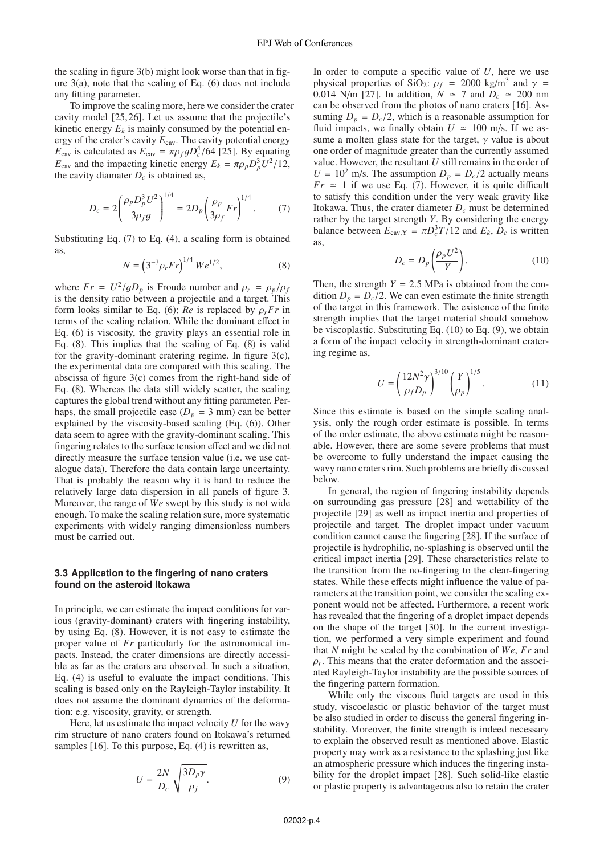the scaling in figure 3(b) might look worse than that in figure  $3(a)$ , note that the scaling of Eq. (6) does not include any fitting parameter.

To improve the scaling more, here we consider the crater cavity model [25, 26]. Let us assume that the projectile's kinetic energy  $E_k$  is mainly consumed by the potential energy of the crater's cavity  $E_{\text{cav}}$ . The cavity potential energy  $E_{\text{cav}}$  is calculated as  $E_{\text{cav}} = \pi \rho_f g D_c^4 / 64$  [25]. By equating  $E_{\text{cav}}$  and the impacting kinetic energy  $E_k = \pi \rho_p D_p^3 U^2 / 12$ , the cavity diamater *D*, is obtained as the cavity diamater  $D_c$  is obtained as,

$$
D_c = 2 \left( \frac{\rho_p D_p^3 U^2}{3 \rho_f g} \right)^{1/4} = 2 D_p \left( \frac{\rho_p}{3 \rho_f} Fr \right)^{1/4}.
$$
 (7)

Substituting Eq. (7) to Eq. (4), a scaling form is obtained as,

$$
N = \left(3^{-3} \rho_r F r\right)^{1/4} We^{1/2},\tag{8}
$$

where  $Fr = U^2/qD_p$  is Froude number and  $\rho_r = \rho_p/\rho_f$ is the density ratio between a projectile and a target. This form looks similar to Eq. (6); *Re* is replaced by  $\rho_r$ *Fr* in terms of the scaling relation. While the dominant effect in Eq. (6) is viscosity, the gravity plays an essential role in Eq. (8). This implies that the scaling of Eq. (8) is valid for the gravity-dominant cratering regime. In figure 3(c), the experimental data are compared with this scaling. The abscissa of figure 3(c) comes from the right-hand side of Eq. (8). Whereas the data still widely scatter, the scaling captures the global trend without any fitting parameter. Perhaps, the small projectile case  $(D_p = 3 \text{ mm})$  can be better explained by the viscosity-based scaling (Eq. (6)). Other data seem to agree with the gravity-dominant scaling. This fingering relates to the surface tension effect and we did not directly measure the surface tension value (i.e. we use catalogue data). Therefore the data contain large uncertainty. That is probably the reason why it is hard to reduce the relatively large data dispersion in all panels of figure 3. Moreover, the range of *We* swept by this study is not wide enough. To make the scaling relation sure, more systematic experiments with widely ranging dimensionless numbers must be carried out.

#### **3.3 Application to the fingering of nano craters found on the asteroid Itokawa**

In principle, we can estimate the impact conditions for various (gravity-dominant) craters with fingering instability, by using Eq. (8). However, it is not easy to estimate the proper value of *Fr* particularly for the astronomical impacts. Instead, the crater dimensions are directly accessible as far as the craters are observed. In such a situation, Eq. (4) is useful to evaluate the impact conditions. This scaling is based only on the Rayleigh-Taylor instability. It does not assume the dominant dynamics of the deformation: e.g. viscosity, gravity, or strength.

Here, let us estimate the impact velocity *U* for the wavy rim structure of nano craters found on Itokawa's returned samples [16]. To this purpose, Eq. (4) is rewritten as,

$$
U = \frac{2N}{D_c} \sqrt{\frac{3D_p \gamma}{\rho_f}}.
$$
 (9)

In order to compute a specific value of *U*, here we use physical properties of SiO<sub>2</sub>:  $\rho_f$  = 2000 kg/m<sup>3</sup> and  $\gamma$  = 0.014 N/m [27]. In addition,  $N \approx 7$  and  $D_c \approx 200$  nm<br>can be observed from the photos of nano craters [16] Ascan be observed from the photos of nano craters [16]. Assuming  $D_p = D_c/2$ , which is a reasonable assumption for fluid impacts, we finally obtain  $U \approx 100$  m/s. If we assume a molten glass state for the target,  $\gamma$  value is about one order of magnitude greater than the currently assumed value. However, the resultant *U* still remains in the order of  $U = 10^2$  m/s. The assumption  $D_p = D_c/2$  actually means  $Fr \approx 1$  if we use Eq. (7). However, it is quite difficult to satisfy this condition under the very weak gravity like Itokawa. Thus, the crater diameter *Dc* must be determined rather by the target strength *Y*. By considering the energy balance between  $E_{\text{cav},Y} = \pi D_c^3 T / 12$  and  $E_k$ ,  $D_c$  is written as,

$$
D_c = D_p \left( \frac{\rho_p U^2}{Y} \right). \tag{10}
$$

Then, the strength  $Y = 2.5$  MPa is obtained from the condition  $D_p = D_c/2$ . We can even estimate the finite strength of the target in this framework. The existence of the finite strength implies that the target material should somehow be viscoplastic. Substituting Eq. (10) to Eq. (9), we obtain a form of the impact velocity in strength-dominant cratering regime as,

$$
U = \left(\frac{12N^2\gamma}{\rho_f D_p}\right)^{3/10} \left(\frac{Y}{\rho_p}\right)^{1/5}.
$$
 (11)

Since this estimate is based on the simple scaling analysis, only the rough order estimate is possible. In terms of the order estimate, the above estimate might be reasonable. However, there are some severe problems that must be overcome to fully understand the impact causing the wavy nano craters rim. Such problems are briefly discussed below.

In general, the region of fingering instability depends on surrounding gas pressure [28] and wettability of the projectile [29] as well as impact inertia and properties of projectile and target. The droplet impact under vacuum condition cannot cause the fingering [28]. If the surface of projectile is hydrophilic, no-splashing is observed until the critical impact inertia [29]. These characteristics relate to the transition from the no-fingering to the clear-fingering states. While these effects might influence the value of parameters at the transition point, we consider the scaling exponent would not be affected. Furthermore, a recent work has revealed that the fingering of a droplet impact depends on the shape of the target [30]. In the current investigation, we performed a very simple experiment and found that *N* might be scaled by the combination of *We*, *Fr* and  $\rho_r$ . This means that the crater deformation and the associated Rayleigh-Taylor instability are the possible sources of the fingering pattern formation.

While only the viscous fluid targets are used in this study, viscoelastic or plastic behavior of the target must be also studied in order to discuss the general fingering instability. Moreover, the finite strength is indeed necessary to explain the observed result as mentioned above. Elastic property may work as a resistance to the splashing just like an atmospheric pressure which induces the fingering instability for the droplet impact [28]. Such solid-like elastic or plastic property is advantageous also to retain the crater